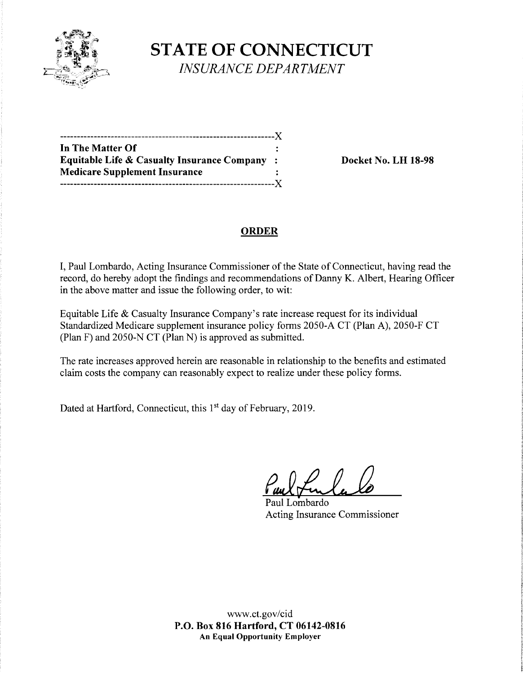

**STATE OF CONNECTICUT**  *INSURANCE DEPARTMENT* 

---------------------------------------------------------------)( **In The Matter Of Equitable Life** & **Casualty Insurance Company** : **Docket No. LH 18-98 Medicare Supplement Insurance**  ---------------------------------------------------------------)(

# **ORDER**

I, Paul Lombardo, Acting Insurance Commissioner of the State of Connecticut, having read the record, do hereby adopt the findings and recommendations of Danny K. Albert, Hearing Officer in the above matter and issue the following order, to wit:

Equitable Life & Casualty Insurance Company's rate increase request for its individual Standardized Medicare supplement insurance policy forms 2050-A CT (Plan A), 2050-F CT (Plan F) and 2050-N CT (Plan N) is approved as submitted.

The rate increases approved herein are reasonable in relationship to the benefits and estimated claim costs the company can reasonably expect to realize under these policy forms.

Dated at Hartford, Connecticut, this 1<sup>st</sup> day of February, 2019.

Paul Lombardo Acting Insurance Commissioner

www.ct.gov/cid **P.O. Box 816 Hartford, CT 06142-0816 An Equal Opportunity Employer**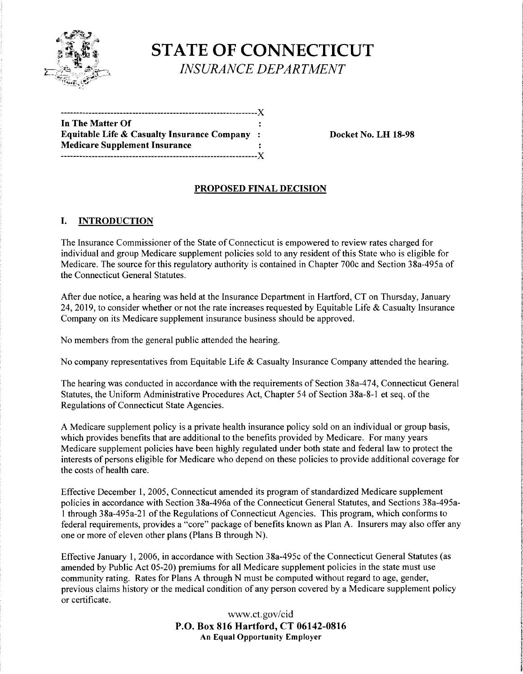

**STATE OF CONNECTICUT**  *INSURANCE DEPARTMENT* 

| In The Matter Of                             | ÷ |
|----------------------------------------------|---|
| Equitable Life & Casualty Insurance Company: |   |
| <b>Medicare Supplement Insurance</b>         |   |
| ------------Y                                |   |

**Equitable Life** & **Casualty Insurance Company** : **Docket No. LH 18-98** 

### **PROPOSED FINAL DECISION**

#### I. **INTRODUCTION**

The Insurance Commissioner of the State of Connecticut is empowered to review rates charged for individual and group Medicare supplement policies sold to any resident of this State who is eligible for Medicare. The source for this regulatory authority is contained in Chapter 700c and Section 38a-495a of the Connecticut General Statutes.

After due notice, a hearing was held at the Insurance Department in Hartford, CT on Thursday, January 24, 2019, to consider whether or not the rate increases requested by Equitable Life & Casualty Insurance Company on its Medicare supplement insurance business should be approved.

No members from the general public attended the hearing.

No company representatives from Equitable Life & Casualty Insurance Company attended the hearing.

The hearing was conducted in accordance with the requirements of Section 38a-474, Connecticut General Statutes, the Uniform Administrative Procedures Act, Chapter 54 of Section 38a-8-1 et seq. of the Regulations of Connecticut State Agencies.

A Medicare supplement policy is a private health insurance policy sold on an individual or group basis, which provides benefits that are additional to the benefits provided by Medicare. For many years Medicare supplement policies have been highly regulated under both state and federal law to protect the interests of persons eligible for Medicare who depend on these policies to provide additional coverage for the costs of health care.

Effective December 1, 2005, Connecticut amended its program of standardized Medicare supplement policies in accordance with Section 38a-496a of the Connecticut General Statutes, and Sections 38a-495a-1 through 38a-495a-21 of the Regulations of Connecticut Agencies. This program, which conforms to federal requirements, provides a "core" package of benefits known as Plan A. Insurers may also offer any one or more of eleven other plans (Plans B through N).

Effective January 1, 2006, in accordance with Section 38a-495c of the Connecticut General Statutes (as amended by Public Act 05-20) premiums for all Medicare supplement policies in the state must use community rating. Rates for Plans A through N must be computed without regard to age, gender, previous claims history or the medical condition of any person covered by a Medicare supplement policy or certificate.

> www.ct.gov/cid **P.O. Box 816 Hartford, CT 06142-0816 An Equal Opportunity Employer**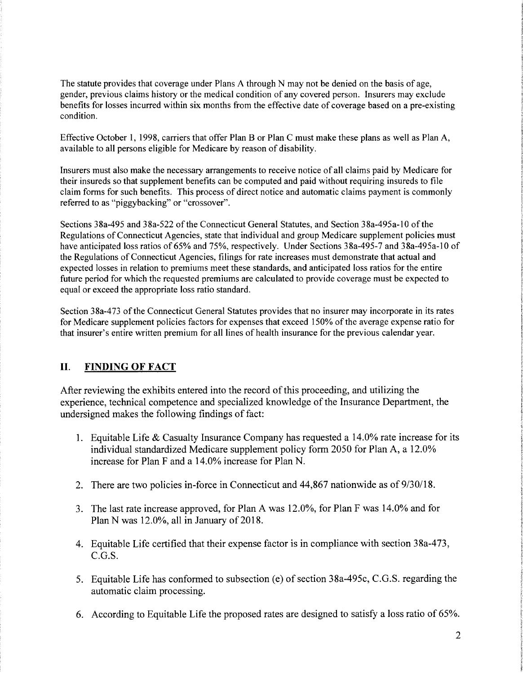The statute provides that coverage under Plans A through N may not be denied on the basis of age, gender, previous claims history or the medical condition of any covered person. Insurers may exclude benefits for losses incurred within six months from the effective date of coverage based on a pre-existing condition.

Effective October 1, 1998, carriers that offer Plan B or Plan C must make these plans as well as Plan A, available to all persons eligible for Medicare by reason of disability.

Insurers must also make the necessary arrangements to receive notice of all claims paid by Medicare for their insureds so that supplement benefits can be computed and paid without requiring insureds to file claim forms for such benefits. This process of direct notice and automatic claims payment is commonly referred to as "piggybacking" or "crossover".

Sections 38a-495 and 38a-522 of the Connecticut General Statutes, and Section 38a-495a-10 of the Regulations of Connecticut Agencies, state that individual and group Medicare supplement policies must have anticipated loss ratios of 65% and 75%, respectively. Under Sections 38a-495-7 and 38a-495a-10 of the Regulations of Connecticut Agencies, filings for rate increases must demonstrate that actual and expected losses in relation to premiums meet these standards, and anticipated loss ratios for the entire future period for which the requested premiums are calculated to provide coverage must be expected to equal or exceed the appropriate loss ratio standard.

Section 38a-473 of the Connecticut General Statutes provides that no insurer may incorporate in its rates for Medicare supplement policies factors for expenses that exceed 150% of the average expense ratio for that insurer's entire written premium for all lines of health insurance for the previous calendar year.

# **II. FINDING OF FACT**

After reviewing the exhibits entered into the record of this proceeding, and utilizing the experience, technical competence and specialized knowledge of the Insurance Department, the undersigned makes the following findings of fact:

- **1.** Equitable Life & Casualty Insurance Company has requested a 14.0% rate increase for its individual standardized Medicare supplement policy form 2050 for Plan A, a 12.0% increase for Plan F and a 14.0% increase for Plan N.
- 2. There are two policies in-force in Connecticut and 44,867 nationwide as of 9/30/18.
- 3. The last rate increase approved, for Plan A was 12.0%, for Plan F was 14.0% and for Plan N was 12.0%, all in January of 2018.
- 4. Equitable Life certified that their expense factor is in compliance with section 38a-473, C.G.S.
- 5. Equitable Life has conformed to subsection (e) of section 38a-495c, C.G.S. regarding the automatic claim processing.
- 6. According to Equitable Life the proposed rates are designed to satisfy a loss ratio of 65%.